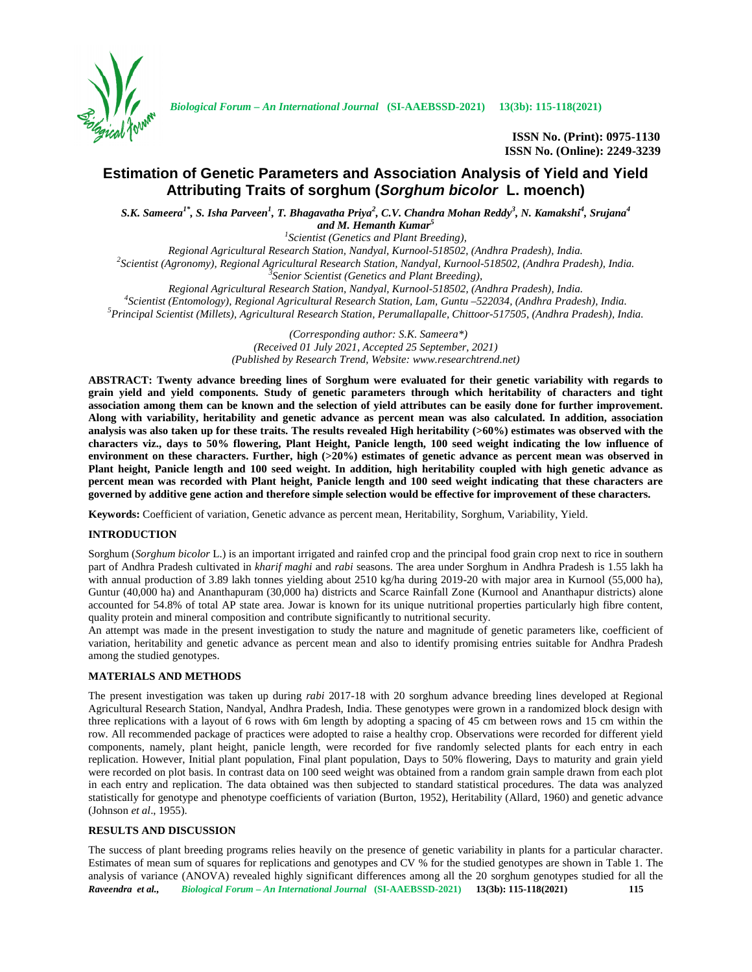

*Biological Forum – An International Journal* **(SI-AAEBSSD-2021) 13(3b): 115-118(2021)**

**ISSN No. (Print): 0975-1130 ISSN No. (Online): 2249-3239**

# **Estimation of Genetic Parameters and Association Analysis of Yield and Yield Attributing Traits of sorghum (***Sorghum bicolor* **L. moench)**

S.K. Sameera<sup>1\*</sup>, S. Isha Parveen<sup>1</sup>, T. Bhagavatha Priya<sup>2</sup>, C.V. Chandra Mohan Reddy<sup>3</sup>, N. Kamakshi<sup>4</sup>, Srujana<sup>4</sup> *and M. Hemanth Kumar<sup>5</sup>*

<sup>1</sup>*Scientist (Genetics and Plant Breeding),*<br>Regional Agricultural Research Station, Nandyal, Kurnool-518502, (Andhra Pradesh), India. <sup>2</sup>Scientist (Agronomy), Regional Agricultural Research Station, Nandyal, Kurnool-518502, (Andhra Pradesh), India.<br><sup>3</sup>Senior Scientist (Genetics and Plant Breeding),

Regional Agricultural Research Station, Nandyal, Kurnool-518502, (Andhra Pradesh), India.<br><sup>4</sup>Scientist (Entomology), Regional Agricultural Research Station, Lam, Guntu –522034, (Andhra Pradesh), India.<br><sup>5</sup>Principal Scienti

*(Corresponding author: S.K. Sameera\*) (Received 01 July 2021, Accepted 25 September, 2021) (Published by Research Trend, Website: <www.researchtrend.net>)*

**ABSTRACT: Twenty advance breeding lines of Sorghum were evaluated for their genetic variability with regards to grain yield and yield components. Study of genetic parameters through which heritability of characters and tight association among them can be known and the selection of yield attributes can be easily done for further improvement. Along with variability, heritability and genetic advance as percent mean was also calculated. In addition, association analysis was also taken up for these traits. The results revealed High heritability (>60%) estimates was observed with the characters viz., days to 50% flowering, Plant Height, Panicle length, 100 seed weight indicating the low influence of environment on these characters. Further, high (>20%) estimates of genetic advance as percent mean was observed in Plant height, Panicle length and 100 seed weight. In addition, high heritability coupled with high genetic advance as percent mean was recorded with Plant height, Panicle length and 100 seed weight indicating that these characters are governed by additive gene action and therefore simple selection would be effective for improvement of these characters.**

**Keywords:** Coefficient of variation, Genetic advance as percent mean, Heritability, Sorghum, Variability, Yield.

## **INTRODUCTION**

Sorghum (*Sorghum bicolor* L.) is an important irrigated and rainfed crop and the principal food grain crop next to rice in southern part of Andhra Pradesh cultivated in *kharif maghi* and *rabi* seasons. The area under Sorghum in Andhra Pradesh is 1.55 lakh ha with annual production of 3.89 lakh tonnes yielding about 2510 kg/ha during 2019-20 with major area in Kurnool (55,000 ha), Guntur (40,000 ha) and Ananthapuram (30,000 ha) districts and Scarce Rainfall Zone (Kurnool and Ananthapur districts) alone accounted for 54.8% of total AP state area. Jowar is known for its unique nutritional properties particularly high fibre content, quality protein and mineral composition and contribute significantly to nutritional security.

An attempt was made in the present investigation to study the nature and magnitude of genetic parameters like, coefficient of variation, heritability and genetic advance as percent mean and also to identify promising entries suitable for Andhra Pradesh among the studied genotypes.

## **MATERIALS AND METHODS**

The present investigation was taken up during *rabi* 2017-18 with 20 sorghum advance breeding lines developed at Regional Agricultural Research Station, Nandyal, Andhra Pradesh, India. These genotypes were grown in a randomized block design with three replications with a layout of 6 rows with 6m length by adopting a spacing of 45 cm between rows and 15 cm within the row. All recommended package of practices were adopted to raise a healthy crop. Observations were recorded for different yield components, namely, plant height, panicle length, were recorded for five randomly selected plants for each entry in each replication. However, Initial plant population, Final plant population, Days to 50% flowering, Days to maturity and grain yield were recorded on plot basis. In contrast data on 100 seed weight was obtained from a random grain sample drawn from each plot in each entry and replication. The data obtained was then subjected to standard statistical procedures. The data was analyzed statistically for genotype and phenotype coefficients of variation (Burton, 1952), Heritability (Allard, 1960) and genetic advance (Johnson *et al*., 1955).

# **RESULTS AND DISCUSSION**

*Raveendra et al., Biological Forum – An International Journal* **(SI-AAEBSSD-2021) 13(3b): 115-118(2021) 115** The success of plant breeding programs relies heavily on the presence of genetic variability in plants for a particular character. Estimates of mean sum of squares for replications and genotypes and CV % for the studied genotypes are shown in Table 1. The analysis of variance (ANOVA) revealed highly significant differences among all the 20 sorghum genotypes studied for all the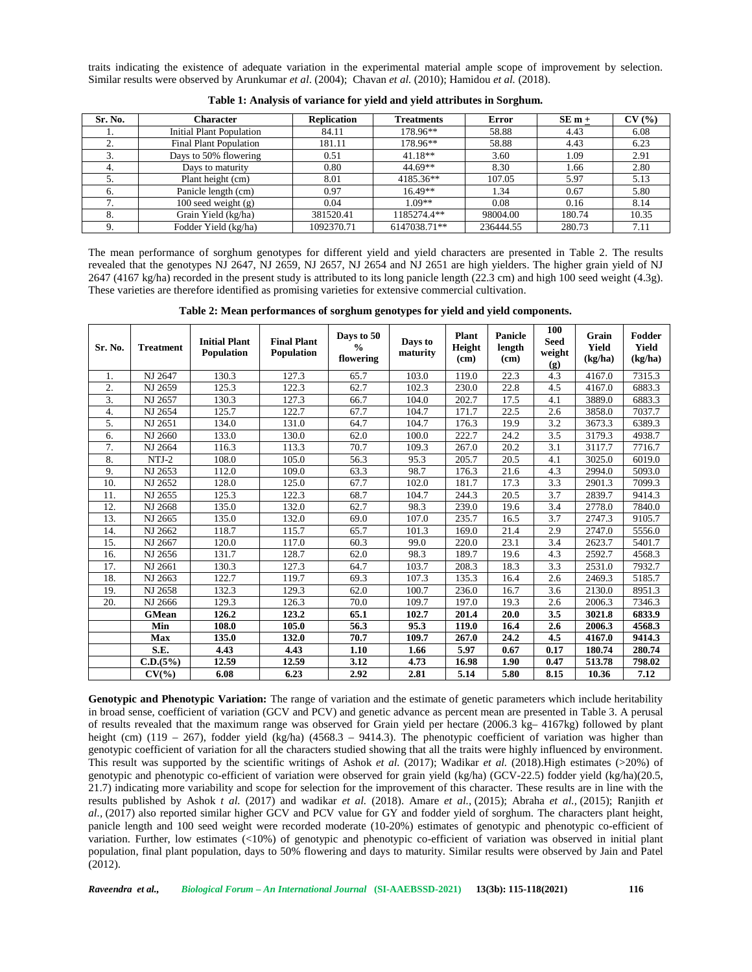traits indicating the existence of adequate variation in the experimental material ample scope of improvement by selection. Similar results were observed by Arunkumar *et al*. (2004); Chavan *et al.* (2010); Hamidou *et al.* (2018).

| Sr. No. | Character                       | <b>Replication</b> | <b>Treatments</b> | <b>Error</b> | $SE_{m+}$ | CV(%) |
|---------|---------------------------------|--------------------|-------------------|--------------|-----------|-------|
|         | <b>Initial Plant Population</b> | 84.11              | 178.96**          | 58.88        | 4.43      | 6.08  |
|         | <b>Final Plant Population</b>   | 181.11             | 178.96**          | 58.88        | 4.43      | 6.23  |
| υ.      | Days to 50% flowering           | 0.51               | $41.18**$         | 3.60         | 1.09      | 2.91  |
| 4.      | Days to maturity                | 0.80               | $44.69**$         | 8.30         | 1.66      | 2.80  |
|         | Plant height (cm)               | 8.01               | 4185.36**         | 107.05       | 5.97      | 5.13  |
|         | Panicle length (cm)             | 0.97               | $16.49**$         | 1.34         | 0.67      | 5.80  |
|         | $100$ seed weight $(g)$         | 0.04               | $1.09**$          | 0.08         | 0.16      | 8.14  |
| δ.      | Grain Yield (kg/ha)             | 381520.41          | 1185274.4**       | 98004.00     | 180.74    | 10.35 |
|         | Fodder Yield (kg/ha)            | 1092370.71         | 6147038.71**      | 236444.55    | 280.73    | 7.11  |

**Table 1: Analysis of variance for yield and yield attributes in Sorghum.**

The mean performance of sorghum genotypes for different yield and yield characters are presented in Table 2. The results revealed that the genotypes NJ 2647, NJ 2659, NJ 2657, NJ 2654 and NJ 2651 are high yielders. The higher grain yield of NJ 2647 (4167 kg/ha) recorded in the present study is attributed to its long panicle length (22.3 cm) and high 100 seed weight (4.3g). These varieties are therefore identified as promising varieties for extensive commercial cultivation.

**Table 2: Mean performances of sorghum genotypes for yield and yield components.**

| Sr. No.          | <b>Treatment</b> | <b>Initial Plant</b><br><b>Population</b> | <b>Final Plant</b><br><b>Population</b> | Days to 50<br>$\frac{0}{0}$<br>flowering | Days to<br>maturity | <b>Plant</b><br>Height<br>(c <sub>m</sub> ) | <b>Panicle</b><br>length<br>(cm) | 100<br><b>Seed</b><br>weight<br>(g) | Grain<br>Yield<br>(kg/ha) | Fodder<br>Yield<br>(kg/ha) |
|------------------|------------------|-------------------------------------------|-----------------------------------------|------------------------------------------|---------------------|---------------------------------------------|----------------------------------|-------------------------------------|---------------------------|----------------------------|
| 1.               | NJ 2647          | 130.3                                     | 127.3                                   | 65.7                                     | 103.0               | 119.0                                       | 22.3                             | 4.3                                 | 4167.0                    | 7315.3                     |
| $\overline{2}$ . | NJ 2659          | 125.3                                     | 122.3                                   | 62.7                                     | 102.3               | 230.0                                       | 22.8                             | 4.5                                 | 4167.0                    | 6883.3                     |
| 3.               | NJ 2657          | 130.3                                     | 127.3                                   | 66.7                                     | 104.0               | 202.7                                       | 17.5                             | 4.1                                 | 3889.0                    | 6883.3                     |
| $\overline{4}$ . | NJ 2654          | 125.7                                     | 122.7                                   | 67.7                                     | 104.7               | 171.7                                       | 22.5                             | 2.6                                 | 3858.0                    | 7037.7                     |
| 5.               | NJ 2651          | 134.0                                     | 131.0                                   | 64.7                                     | 104.7               | 176.3                                       | 19.9                             | 3.2                                 | 3673.3                    | 6389.3                     |
| 6.               | NJ 2660          | 133.0                                     | 130.0                                   | 62.0                                     | 100.0               | 222.7                                       | 24.2                             | 3.5                                 | 3179.3                    | 4938.7                     |
| 7.               | NJ 2664          | 116.3                                     | 113.3                                   | 70.7                                     | 109.3               | 267.0                                       | 20.2                             | 3.1                                 | 3117.7                    | 7716.7                     |
| 8.               | $NTJ-2$          | 108.0                                     | 105.0                                   | 56.3                                     | 95.3                | 205.7                                       | 20.5                             | 4.1                                 | 3025.0                    | 6019.0                     |
| 9.               | NJ 2653          | 112.0                                     | 109.0                                   | 63.3                                     | 98.7                | 176.3                                       | 21.6                             | 4.3                                 | 2994.0                    | 5093.0                     |
| 10.              | NJ 2652          | 128.0                                     | 125.0                                   | 67.7                                     | 102.0               | 181.7                                       | 17.3                             | 3.3                                 | 2901.3                    | 7099.3                     |
| 11.              | NJ 2655          | 125.3                                     | 122.3                                   | 68.7                                     | 104.7               | 244.3                                       | 20.5                             | 3.7                                 | 2839.7                    | 9414.3                     |
| 12.              | NJ 2668          | 135.0                                     | 132.0                                   | 62.7                                     | 98.3                | 239.0                                       | 19.6                             | 3.4                                 | 2778.0                    | 7840.0                     |
| 13.              | NJ 2665          | 135.0                                     | 132.0                                   | 69.0                                     | 107.0               | 235.7                                       | 16.5                             | 3.7                                 | 2747.3                    | 9105.7                     |
| 14.              | NJ 2662          | 118.7                                     | 115.7                                   | 65.7                                     | 101.3               | 169.0                                       | 21.4                             | 2.9                                 | 2747.0                    | 5556.0                     |
| 15.              | NJ 2667          | 120.0                                     | 117.0                                   | 60.3                                     | 99.0                | 220.0                                       | 23.1                             | 3.4                                 | 2623.7                    | 5401.7                     |
| 16.              | NJ 2656          | 131.7                                     | 128.7                                   | 62.0                                     | 98.3                | 189.7                                       | 19.6                             | 4.3                                 | 2592.7                    | 4568.3                     |
| 17.              | NJ 2661          | 130.3                                     | 127.3                                   | 64.7                                     | 103.7               | 208.3                                       | 18.3                             | 3.3                                 | 2531.0                    | 7932.7                     |
| 18.              | NJ 2663          | 122.7                                     | 119.7                                   | 69.3                                     | 107.3               | 135.3                                       | 16.4                             | 2.6                                 | 2469.3                    | 5185.7                     |
| 19.              | NJ 2658          | 132.3                                     | 129.3                                   | 62.0                                     | 100.7               | 236.0                                       | 16.7                             | 3.6                                 | 2130.0                    | 8951.3                     |
| 20.              | NJ 2666          | 129.3                                     | 126.3                                   | 70.0                                     | 109.7               | 197.0                                       | 19.3                             | 2.6                                 | 2006.3                    | 7346.3                     |
|                  | <b>GMean</b>     | 126.2                                     | 123.2                                   | 65.1                                     | 102.7               | 201.4                                       | 20.0                             | 3.5                                 | 3021.8                    | 6833.9                     |
|                  | Min              | 108.0                                     | 105.0                                   | 56.3                                     | 95.3                | 119.0                                       | 16.4                             | 2.6                                 | 2006.3                    | 4568.3                     |
|                  | <b>Max</b>       | 135.0                                     | 132.0                                   | 70.7                                     | 109.7               | 267.0                                       | 24.2                             | 4.5                                 | 4167.0                    | 9414.3                     |
|                  | S.E.             | 4.43                                      | 4.43                                    | 1.10                                     | 1.66                | 5.97                                        | 0.67                             | 0.17                                | 180.74                    | 280.74                     |
|                  | C.D.(5%)         | 12.59                                     | 12.59                                   | 3.12                                     | 4.73                | 16.98                                       | 1.90                             | 0.47                                | 513.78                    | 798.02                     |
|                  | CV(%             | 6.08                                      | 6.23                                    | 2.92                                     | 2.81                | 5.14                                        | 5.80                             | 8.15                                | 10.36                     | 7.12                       |

**Genotypic and Phenotypic Variation:** The range of variation and the estimate of genetic parameters which include heritability in broad sense, coefficient of variation (GCV and PCV) and genetic advance as percent mean are presented in Table 3. A perusal of results revealed that the maximum range was observed for Grain yield per hectare (2006.3 kg– 4167kg) followed by plant height (cm) (119 – 267), fodder yield (kg/ha) (4568.3 – 9414.3). The phenotypic coefficient of variation was higher than genotypic coefficient of variation for all the characters studied showing that all the traits were highly influenced by environment. This result was supported by the scientific writings of Ashok *et al.* (2017); Wadikar *et al.* (2018).High estimates (>20%) of genotypic and phenotypic co-efficient of variation were observed for grain yield (kg/ha) (GCV-22.5) fodder yield (kg/ha)(20.5, 21.7) indicating more variability and scope for selection for the improvement of this character. These results are in line with the results published by Ashok *t al.* (2017) and wadikar *et al.* (2018). Amare *et al.,* (2015); Abraha *et al.,* (2015); Ranjith *et al.,* (2017) also reported similar higher GCV and PCV value for GY and fodder yield of sorghum. The characters plant height, panicle length and 100 seed weight were recorded moderate (10-20%) estimates of genotypic and phenotypic co-efficient of variation. Further, low estimates (<10%) of genotypic and phenotypic co-efficient of variation was observed in initial plant population, final plant population, days to 50% flowering and days to maturity. Similar results were observed by Jain and Patel (2012).

*Raveendra et al., Biological Forum – An International Journal* **(SI-AAEBSSD-2021) 13(3b): 115-118(2021) 116**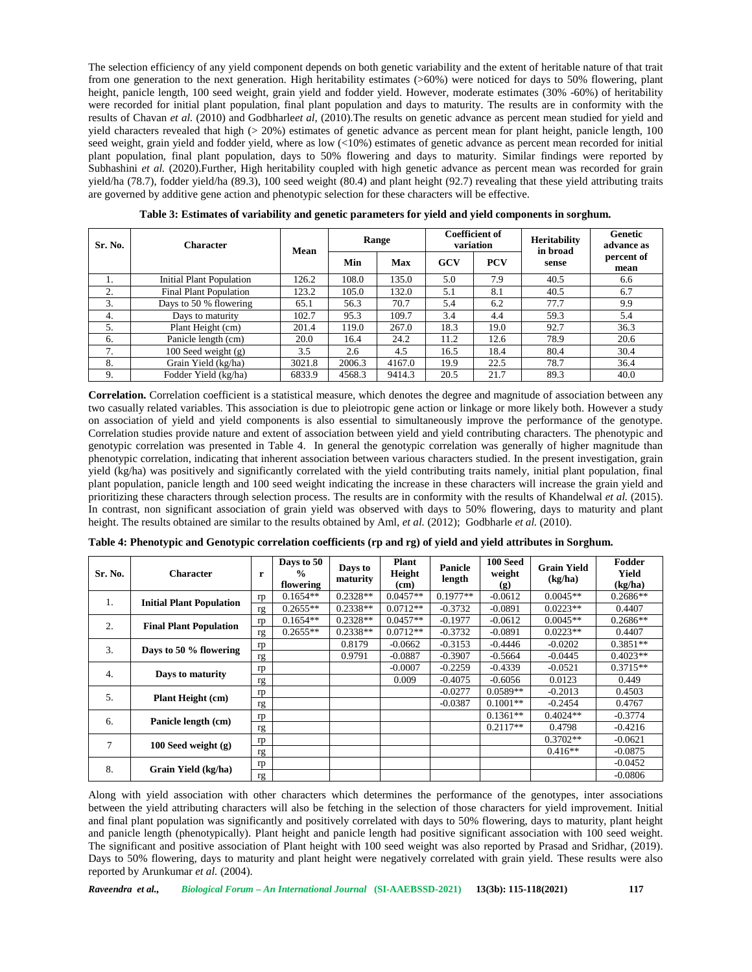The selection efficiency of any yield component depends on both genetic variability and the extent of heritable nature of that trait from one generation to the next generation. High heritability estimates (>60%) were noticed for days to 50% flowering, plant height, panicle length, 100 seed weight, grain yield and fodder yield. However, moderate estimates (30% -60%) of heritability were recorded for initial plant population, final plant population and days to maturity. The results are in conformity with the results of Chavan *et al.* (2010) and Godbharle*et al*, (2010).The results on genetic advance as percent mean studied for yield and yield characters revealed that high  $(> 20%)$  estimates of genetic advance as percent mean for plant height, panicle length, 100 seed weight, grain yield and fodder yield, where as low (<10%) estimates of genetic advance as percent mean recorded for initial plant population, final plant population, days to 50% flowering and days to maturity. Similar findings were reported by Subhashini *et al.* (2020).Further, High heritability coupled with high genetic advance as percent mean was recorded for grain yield/ha (78.7), fodder yield/ha (89.3), 100 seed weight (80.4) and plant height (92.7) revealing that these yield attributing traits are governed by additive gene action and phenotypic selection for these characters will be effective.

| Sr. No. | <b>Character</b>              | Mean   | Range  |            | <b>Coefficient of</b><br>variation |            | <b>Heritability</b><br>in broad | Genetic<br>advance as |
|---------|-------------------------------|--------|--------|------------|------------------------------------|------------|---------------------------------|-----------------------|
|         |                               |        | Min    | <b>Max</b> | <b>GCV</b>                         | <b>PCV</b> | sense                           | percent of<br>mean    |
|         | Initial Plant Population      | 126.2  | 108.0  | 135.0      | 5.0                                | 7.9        | 40.5                            | 6.6                   |
| 2.      | <b>Final Plant Population</b> | 123.2  | 105.0  | 132.0      | 5.1                                | 8.1        | 40.5                            | 6.7                   |
| 3.      | Days to 50 % flowering        | 65.1   | 56.3   | 70.7       | 5.4                                | 6.2        | 77.7                            | 9.9                   |
| 4.      | Days to maturity              | 102.7  | 95.3   | 109.7      | 3.4                                | 4.4        | 59.3                            | 5.4                   |
| 5.      | Plant Height (cm)             | 201.4  | 119.0  | 267.0      | 18.3                               | 19.0       | 92.7                            | 36.3                  |
| 6.      | Panicle length (cm)           | 20.0   | 16.4   | 24.2       | 11.2                               | 12.6       | 78.9                            | 20.6                  |
| 7.      | $100$ Seed weight $(g)$       | 3.5    | 2.6    | 4.5        | 16.5                               | 18.4       | 80.4                            | 30.4                  |
| 8.      | Grain Yield (kg/ha)           | 3021.8 | 2006.3 | 4167.0     | 19.9                               | 22.5       | 78.7                            | 36.4                  |
| 9.      | Fodder Yield (kg/ha)          | 6833.9 | 4568.3 | 9414.3     | 20.5                               | 21.7       | 89.3                            | 40.0                  |

**Table 3: Estimates of variability and genetic parameters for yield and yield components in sorghum.**

**Correlation.** Correlation coefficient is a statistical measure, which denotes the degree and magnitude of association between any two casually related variables. This association is due to pleiotropic gene action or linkage or more likely both. However a study on association of yield and yield components is also essential to simultaneously improve the performance of the genotype. Correlation studies provide nature and extent of association between yield and yield contributing characters. The phenotypic and genotypic correlation was presented in Table 4. In general the genotypic correlation was generally of higher magnitude than phenotypic correlation, indicating that inherent association between various characters studied. In the present investigation, grain yield (kg/ha) was positively and significantly correlated with the yield contributing traits namely, initial plant population, final plant population, panicle length and 100 seed weight indicating the increase in these characters will increase the grain yield and prioritizing these characters through selection process. The results are in conformity with the results of Khandelwal *et al.* (2015). In contrast, non significant association of grain yield was observed with days to 50% flowering, days to maturity and plant height. The results obtained are similar to the results obtained by Aml, *et al.* (2012); Godbharle *et al.* (2010).

| Sr. No.                   | <b>Character</b>                      | r  | Days to 50<br>$\frac{0}{0}$<br>flowering | Days to<br>maturity | Plant<br>Height<br>(cm) | <b>Panicle</b><br>length | 100 Seed<br>weight<br>(g) | <b>Grain Yield</b><br>(kg/ha) | Fodder<br>Yield<br>(kg/ha) |
|---------------------------|---------------------------------------|----|------------------------------------------|---------------------|-------------------------|--------------------------|---------------------------|-------------------------------|----------------------------|
|                           | <b>Initial Plant Population</b><br>1. | rp | $0.1654**$                               | $0.2328**$          | $0.0457**$              | $0.1977**$               | $-0.0612$                 | $0.0045**$                    | $0.2686**$                 |
|                           |                                       | rg | $0.2655**$                               | $0.2338**$          | $0.0712**$              | $-0.3732$                | $-0.0891$                 | $0.0223**$                    | 0.4407                     |
|                           | 2.<br><b>Final Plant Population</b>   | rp | $0.1654**$                               | $0.2328**$          | $0.0457**$              | $-0.1977$                | $-0.0612$                 | $0.0045**$                    | $0.2686**$                 |
|                           |                                       | rg | $0.2655**$                               | $0.2338**$          | $0.0712**$              | $-0.3732$                | $-0.0891$                 | $0.0223**$                    | 0.4407                     |
|                           | Days to 50 % flowering                | rp |                                          | 0.8179              | $-0.0662$               | $-0.3153$                | $-0.4446$                 | $-0.0202$                     | $0.3851**$                 |
|                           | 3.                                    | rg |                                          | 0.9791              | $-0.0887$               | $-0.3907$                | $-0.5664$                 | $-0.0445$                     | $0.4023**$                 |
| 4.                        |                                       | rp |                                          |                     | $-0.0007$               | $-0.2259$                | $-0.4339$                 | $-0.0521$                     | $0.3715**$                 |
|                           | Days to maturity                      | rg |                                          |                     | 0.009                   | $-0.4075$                | $-0.6056$                 | 0.0123                        | 0.449                      |
| 5.                        |                                       | rp |                                          |                     |                         | $-0.0277$                | $0.0589**$                | $-0.2013$                     | 0.4503                     |
|                           | <b>Plant Height (cm)</b>              | rg |                                          |                     |                         | $-0.0387$                | $0.1001**$                | $-0.2454$                     | 0.4767                     |
| 6.                        | Panicle length (cm)                   | rp |                                          |                     |                         |                          | $0.1361**$                | $0.4024**$                    | $-0.3774$                  |
|                           |                                       | rg |                                          |                     |                         |                          | $0.2117**$                | 0.4798                        | $-0.4216$                  |
| 7                         |                                       | rp |                                          |                     |                         |                          |                           | $0.3702**$                    | $-0.0621$                  |
|                           | $100$ Seed weight $(g)$               | rg |                                          |                     |                         |                          |                           | $0.416**$                     | $-0.0875$                  |
| 8.<br>Grain Yield (kg/ha) |                                       | rp |                                          |                     |                         |                          |                           |                               | $-0.0452$                  |
|                           |                                       | rg |                                          |                     |                         |                          |                           |                               | $-0.0806$                  |

**Table 4: Phenotypic and Genotypic correlation coefficients (rp and rg) of yield and yield attributes in Sorghum.**

Along with yield association with other characters which determines the performance of the genotypes, inter associations between the yield attributing characters will also be fetching in the selection of those characters for yield improvement. Initial and final plant population was significantly and positively correlated with days to 50% flowering, days to maturity, plant height and panicle length (phenotypically). Plant height and panicle length had positive significant association with 100 seed weight. The significant and positive association of Plant height with 100 seed weight was also reported by Prasad and Sridhar, (2019). Days to 50% flowering, days to maturity and plant height were negatively correlated with grain yield. These results were also reported by Arunkumar *et al.* (2004).